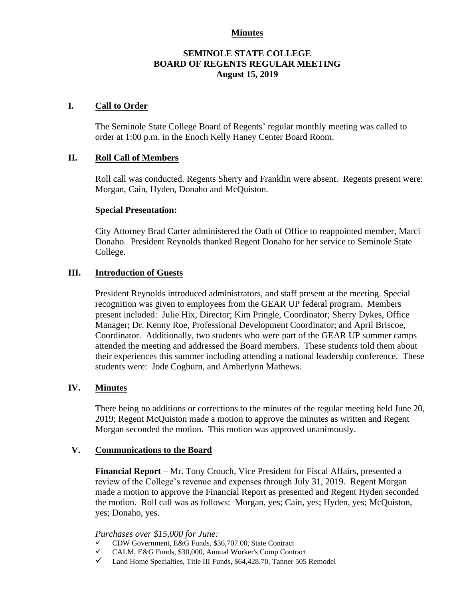### **Minutes**

## **SEMINOLE STATE COLLEGE BOARD OF REGENTS REGULAR MEETING August 15, 2019**

## **I. Call to Order**

The Seminole State College Board of Regents' regular monthly meeting was called to order at 1:00 p.m. in the Enoch Kelly Haney Center Board Room.

## **II. Roll Call of Members**

Roll call was conducted. Regents Sherry and Franklin were absent. Regents present were: Morgan, Cain, Hyden, Donaho and McQuiston.

#### **Special Presentation:**

City Attorney Brad Carter administered the Oath of Office to reappointed member, Marci Donaho. President Reynolds thanked Regent Donaho for her service to Seminole State College.

#### **III. Introduction of Guests**

President Reynolds introduced administrators, and staff present at the meeting. Special recognition was given to employees from the GEAR UP federal program. Members present included: Julie Hix, Director; Kim Pringle, Coordinator; Sherry Dykes, Office Manager; Dr. Kenny Roe, Professional Development Coordinator; and April Briscoe, Coordinator. Additionally, two students who were part of the GEAR UP summer camps attended the meeting and addressed the Board members. These students told them about their experiences this summer including attending a national leadership conference. These students were: Jode Cogburn, and Amberlynn Mathews.

### **IV. Minutes**

There being no additions or corrections to the minutes of the regular meeting held June 20, 2019; Regent McQuiston made a motion to approve the minutes as written and Regent Morgan seconded the motion. This motion was approved unanimously.

#### **V. Communications to the Board**

**Financial Report** – Mr. Tony Crouch, Vice President for Fiscal Affairs, presented a review of the College's revenue and expenses through July 31, 2019. Regent Morgan made a motion to approve the Financial Report as presented and Regent Hyden seconded the motion. Roll call was as follows: Morgan, yes; Cain, yes; Hyden, yes; McQuiston, yes; Donaho, yes.

#### *Purchases over \$15,000 for June:*

- ✓ CDW Government, E&G Funds, \$36,707.00, State Contract
- ✓ CALM, E&G Funds, \$30,000, Annual Worker's Comp Contract
- ✓ Land Home Specialties, Title III Funds, \$64,428.70, Tanner 505 Remodel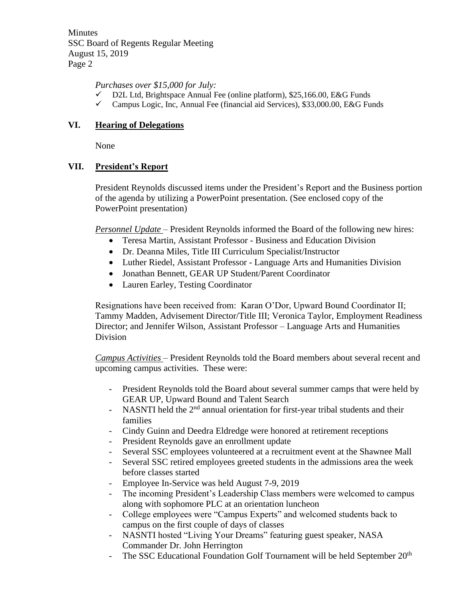Minutes SSC Board of Regents Regular Meeting August 15, 2019 Page 2

# *Purchases over \$15,000 for July:*

- $\checkmark$  D2L Ltd, Brightspace Annual Fee (online platform), \$25,166.00, E&G Funds
- $\checkmark$  Campus Logic, Inc, Annual Fee (financial aid Services), \$33,000.00, E&G Funds

# **VI. Hearing of Delegations**

None

# **VII. President's Report**

President Reynolds discussed items under the President's Report and the Business portion of the agenda by utilizing a PowerPoint presentation. (See enclosed copy of the PowerPoint presentation)

*Personnel Update* – President Reynolds informed the Board of the following new hires:

- Teresa Martin, Assistant Professor Business and Education Division
- Dr. Deanna Miles, Title III Curriculum Specialist/Instructor
- Luther Riedel, Assistant Professor Language Arts and Humanities Division
- Jonathan Bennett, GEAR UP Student/Parent Coordinator
- Lauren Earley, Testing Coordinator

Resignations have been received from: Karan O'Dor, Upward Bound Coordinator II; Tammy Madden, Advisement Director/Title III; Veronica Taylor, Employment Readiness Director; and Jennifer Wilson, Assistant Professor – Language Arts and Humanities Division

*Campus Activities* – President Reynolds told the Board members about several recent and upcoming campus activities. These were:

- President Reynolds told the Board about several summer camps that were held by GEAR UP, Upward Bound and Talent Search
- NASNTI held the 2<sup>nd</sup> annual orientation for first-year tribal students and their families
- Cindy Guinn and Deedra Eldredge were honored at retirement receptions
- President Reynolds gave an enrollment update
- Several SSC employees volunteered at a recruitment event at the Shawnee Mall
- Several SSC retired employees greeted students in the admissions area the week before classes started
- Employee In-Service was held August 7-9, 2019
- The incoming President's Leadership Class members were welcomed to campus along with sophomore PLC at an orientation luncheon
- College employees were "Campus Experts" and welcomed students back to campus on the first couple of days of classes
- NASNTI hosted "Living Your Dreams" featuring guest speaker, NASA Commander Dr. John Herrington
- The SSC Educational Foundation Golf Tournament will be held September 20<sup>th</sup>